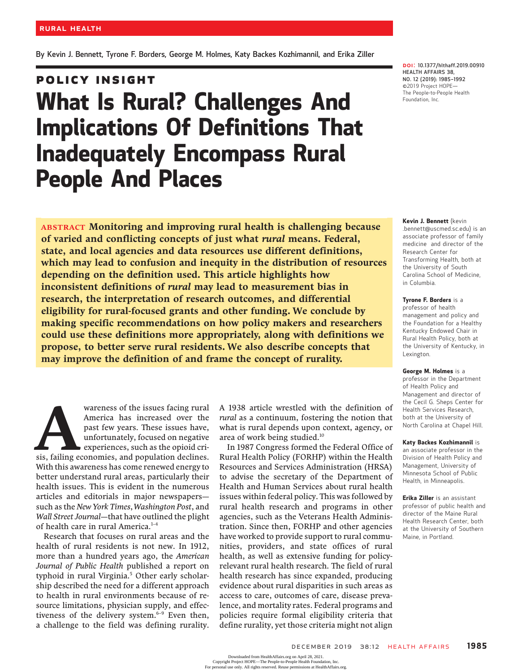By Kevin J. Bennett, Tyrone F. Borders, George M. Holmes, Katy Backes Kozhimannil, and Erika Ziller

# **POLICY INSIGHT** Policy Institute Institute Institute Institute Institute Institute Institute Institute Institute Institute In<br>Policies Institute Institute Institute Institute Institute Institute Institute Institute Institute Institute I What Is Rural? Challenges And Implications Of Definitions That Inadequately Encompass Rural People And Places

ABSTRACT Monitoring and improving rural health is challenging because of varied and conflicting concepts of just what rural means. Federal, state, and local agencies and data resources use different definitions, which may lead to confusion and inequity in the distribution of resources depending on the definition used. This article highlights how inconsistent definitions of rural may lead to measurement bias in research, the interpretation of research outcomes, and differential eligibility for rural-focused grants and other funding. We conclude by making specific recommendations on how policy makers and researchers could use these definitions more appropriately, along with definitions we propose, to better serve rural residents. We also describe concepts that may improve the definition of and frame the concept of rurality.

Wareness of the issues facing rural<br>America has increased over the<br>past few years. These issues have,<br>unfortunately, focused on negative<br>experiences, such as the opioid cri-<br>sis, failing economies, and population declines. America has increased over the past few years. These issues have, unfortunately, focused on negative experiences, such as the opioid cri-With this awareness has come renewed energy to better understand rural areas, particularly their health issues. This is evident in the numerous articles and editorials in major newspapers such as the New York Times, Washington Post, and Wall Street Journal—that have outlined the plight of health care in rural America.<sup>1-4</sup>

Research that focuses on rural areas and the health of rural residents is not new. In 1912, more than a hundred years ago, the American Journal of Public Health published a report on typhoid in rural Virginia.<sup>5</sup> Other early scholarship described the need for a different approach to health in rural environments because of resource limitations, physician supply, and effectiveness of the delivery system.<sup>6-9</sup> Even then, a challenge to the field was defining rurality.

A 1938 article wrestled with the definition of rural as a continuum, fostering the notion that what is rural depends upon context, agency, or area of work being studied.10

In 1987 Congress formed the Federal Office of Rural Health Policy (FORHP) within the Health Resources and Services Administration (HRSA) to advise the secretary of the Department of Health and Human Services about rural health issues within federal policy. This was followed by rural health research and programs in other agencies, such as the Veterans Health Administration. Since then, FORHP and other agencies have worked to provide support to rural communities, providers, and state offices of rural health, as well as extensive funding for policyrelevant rural health research. The field of rural health research has since expanded, producing evidence about rural disparities in such areas as access to care, outcomes of care, disease prevalence, and mortality rates. Federal programs and policies require formal eligibility criteria that define rurality, yet those criteria might not align

DOI: 10.1377/hlthaff.2019.00910 HEALTH AFFAIRS 38, NO. 12 (2019): 1985–<sup>1992</sup> ©2019 Project HOPE— The People-to-People Health Foundation, Inc.

#### Kevin J. Bennett (kevin

.bennett@uscmed.sc.edu) is an associate professor of family medicine and director of the Research Center for Transforming Health, both at the University of South Carolina School of Medicine, in Columbia.

### Tyrone F. Borders is a

professor of health management and policy and the Foundation for a Healthy Kentucky Endowed Chair in Rural Health Policy, both at the University of Kentucky, in Lexington.

### George M. Holmes is a

professor in the Department of Health Policy and Management and director of the Cecil G. Sheps Center for Health Services Research, both at the University of North Carolina at Chapel Hill.

### Katy Backes Kozhimannil is

an associate professor in the Division of Health Policy and Management, University of Minnesota School of Public Health, in Minneapolis.

Erika Ziller is an assistant professor of public health and director of the Maine Rural Health Research Center, both at the University of Southern Maine, in Portland.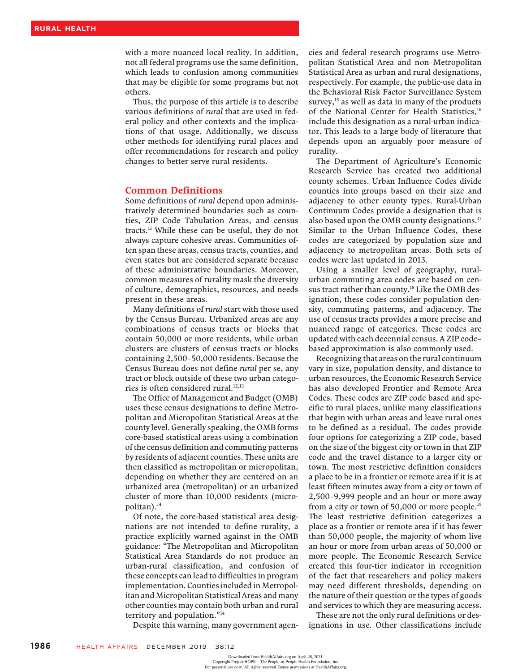with a more nuanced local reality. In addition, not all federal programs use the same definition, which leads to confusion among communities that may be eligible for some programs but not others.

Thus, the purpose of this article is to describe various definitions of rural that are used in federal policy and other contexts and the implications of that usage. Additionally, we discuss other methods for identifying rural places and offer recommendations for research and policy changes to better serve rural residents.

## Common Definitions

Some definitions of rural depend upon administratively determined boundaries such as counties, ZIP Code Tabulation Areas, and census tracts.<sup>11</sup> While these can be useful, they do not always capture cohesive areas. Communities often span these areas, census tracts, counties, and even states but are considered separate because of these administrative boundaries. Moreover, common measures of rurality mask the diversity of culture, demographics, resources, and needs present in these areas.

Many definitions of rural start with those used by the Census Bureau. Urbanized areas are any combinations of census tracts or blocks that contain 50,000 or more residents, while urban clusters are clusters of census tracts or blocks containing 2,500–50,000 residents. Because the Census Bureau does not define rural per se, any tract or block outside of these two urban categories is often considered rural.<sup>12,13</sup>

The Office of Management and Budget (OMB) uses these census designations to define Metropolitan and Micropolitan Statistical Areas at the county level. Generally speaking, the OMB forms core-based statistical areas using a combination of the census definition and commuting patterns by residents of adjacent counties. These units are then classified as metropolitan or micropolitan, depending on whether they are centered on an urbanized area (metropolitan) or an urbanized cluster of more than 10,000 residents (micropolitan).14

Of note, the core-based statistical area designations are not intended to define rurality, a practice explicitly warned against in the OMB guidance: "The Metropolitan and Micropolitan Statistical Area Standards do not produce an urban-rural classification, and confusion of these concepts can lead to difficulties in program implementation. Counties included in Metropolitan and Micropolitan Statistical Areas and many other counties may contain both urban and rural territory and population."<sup>14</sup>

Despite this warning, many government agen-

cies and federal research programs use Metropolitan Statistical Area and non–Metropolitan Statistical Area as urban and rural designations, respectively. For example, the public-use data in the Behavioral Risk Factor Surveillance System survey,<sup>15</sup> as well as data in many of the products of the National Center for Health Statistics,<sup>16</sup> include this designation as a rural-urban indicator. This leads to a large body of literature that depends upon an arguably poor measure of rurality.

The Department of Agriculture's Economic Research Service has created two additional county schemes. Urban Influence Codes divide counties into groups based on their size and adjacency to other county types. Rural-Urban Continuum Codes provide a designation that is also based upon the OMB county designations.<sup>17</sup> Similar to the Urban Influence Codes, these codes are categorized by population size and adjacency to metropolitan areas. Both sets of codes were last updated in 2013.

Using a smaller level of geography, ruralurban commuting area codes are based on census tract rather than county.<sup>18</sup> Like the OMB designation, these codes consider population density, commuting patterns, and adjacency. The use of census tracts provides a more precise and nuanced range of categories. These codes are updated with each decennial census. A ZIP code– based approximation is also commonly used.

Recognizing that areas on the rural continuum vary in size, population density, and distance to urban resources, the Economic Research Service has also developed Frontier and Remote Area Codes. These codes are ZIP code based and specific to rural places, unlike many classifications that begin with urban areas and leave rural ones to be defined as a residual. The codes provide four options for categorizing a ZIP code, based on the size of the biggest city or town in that ZIP code and the travel distance to a larger city or town. The most restrictive definition considers a place to be in a frontier or remote area if it is at least fifteen minutes away from a city or town of 2,500–9,999 people and an hour or more away from a city or town of 50,000 or more people.19 The least restrictive definition categorizes a place as a frontier or remote area if it has fewer than 50,000 people, the majority of whom live an hour or more from urban areas of 50,000 or more people. The Economic Research Service created this four-tier indicator in recognition of the fact that researchers and policy makers may need different thresholds, depending on the nature of their question or the types of goods and services to which they are measuring access.

These are not the only rural definitions or designations in use. Other classifications include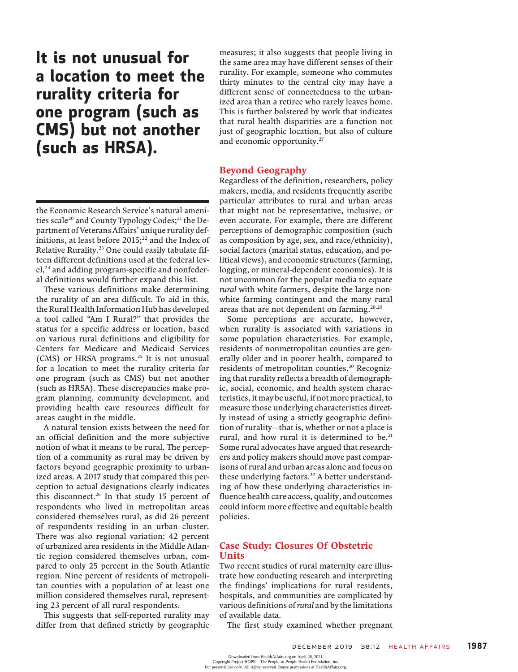It is not unusual for a location to meet the rurality criteria for one program (such as CMS) but not another (such as HRSA).

the Economic Research Service's natural amenities scale<sup>20</sup> and County Typology Codes;<sup>21</sup> the Department of Veterans Affairs' unique rurality definitions, at least before  $2015$ ;<sup>22</sup> and the Index of Relative Rurality.23 One could easily tabulate fifteen different definitions used at the federal lev $el<sub>z</sub><sup>24</sup>$  and adding program-specific and nonfederal definitions would further expand this list.

These various definitions make determining the rurality of an area difficult. To aid in this, the Rural Health Information Hub has developed a tool called "Am I Rural?" that provides the status for a specific address or location, based on various rural definitions and eligibility for Centers for Medicare and Medicaid Services (CMS) or HRSA programs.<sup>25</sup> It is not unusual for a location to meet the rurality criteria for one program (such as CMS) but not another (such as HRSA). These discrepancies make program planning, community development, and providing health care resources difficult for areas caught in the middle.

A natural tension exists between the need for an official definition and the more subjective notion of what it means to be rural. The perception of a community as rural may be driven by factors beyond geographic proximity to urbanized areas. A 2017 study that compared this perception to actual designations clearly indicates this disconnect.<sup>26</sup> In that study 15 percent of respondents who lived in metropolitan areas considered themselves rural, as did 26 percent of respondents residing in an urban cluster. There was also regional variation: 42 percent of urbanized area residents in the Middle Atlantic region considered themselves urban, compared to only 25 percent in the South Atlantic region. Nine percent of residents of metropolitan counties with a population of at least one million considered themselves rural, representing 23 percent of all rural respondents.

This suggests that self-reported rurality may differ from that defined strictly by geographic measures; it also suggests that people living in the same area may have different senses of their rurality. For example, someone who commutes thirty minutes to the central city may have a different sense of connectedness to the urbanized area than a retiree who rarely leaves home. This is further bolstered by work that indicates that rural health disparities are a function not just of geographic location, but also of culture and economic opportunity.<sup>27</sup>

## Beyond Geography

Regardless of the definition, researchers, policy makers, media, and residents frequently ascribe particular attributes to rural and urban areas that might not be representative, inclusive, or even accurate. For example, there are different perceptions of demographic composition (such as composition by age, sex, and race/ethnicity), social factors (marital status, education, and political views), and economic structures (farming, logging, or mineral-dependent economies). It is not uncommon for the popular media to equate rural with white farmers, despite the large nonwhite farming contingent and the many rural areas that are not dependent on farming.<sup>28,29</sup>

Some perceptions are accurate, however, when rurality is associated with variations in some population characteristics. For example, residents of nonmetropolitan counties are generally older and in poorer health, compared to residents of metropolitan counties.30 Recognizing that rurality reflects a breadth of demographic, social, economic, and health system characteristics, it may be useful, if not more practical, to measure those underlying characteristics directly instead of using a strictly geographic definition of rurality—that is, whether or not a place is rural, and how rural it is determined to be.<sup>31</sup> Some rural advocates have argued that researchers and policy makers should move past comparisons of rural and urban areas alone and focus on these underlying factors.<sup>32</sup> A better understanding of how these underlying characteristics influence health care access, quality, and outcomes could inform more effective and equitable health policies.

# Case Study: Closures Of Obstetric Units

Two recent studies of rural maternity care illustrate how conducting research and interpreting the findings' implications for rural residents, hospitals, and communities are complicated by various definitions of rural and by the limitations of available data.

The first study examined whether pregnant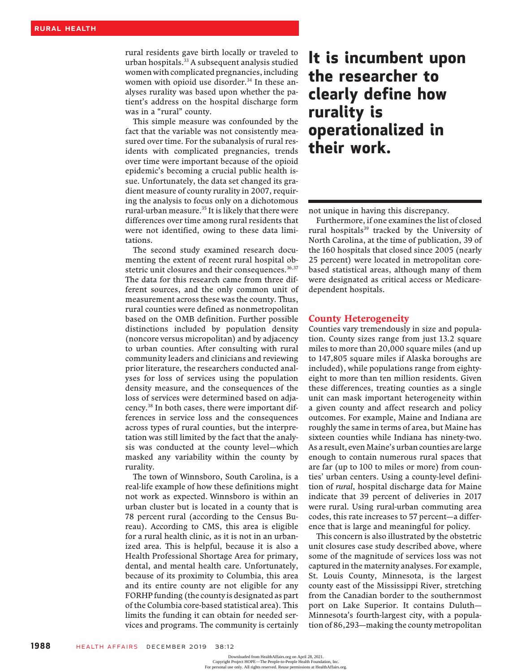rural residents gave birth locally or traveled to urban hospitals.33 A subsequent analysis studied women with complicated pregnancies, including women with opioid use disorder.<sup>34</sup> In these analyses rurality was based upon whether the patient's address on the hospital discharge form was in a "rural" county.

This simple measure was confounded by the fact that the variable was not consistently measured over time. For the subanalysis of rural residents with complicated pregnancies, trends over time were important because of the opioid epidemic's becoming a crucial public health issue. Unfortunately, the data set changed its gradient measure of county rurality in 2007, requiring the analysis to focus only on a dichotomous rural-urban measure.<sup>35</sup> It is likely that there were differences over time among rural residents that were not identified, owing to these data limitations.

The second study examined research documenting the extent of recent rural hospital obstetric unit closures and their consequences.<sup>36,37</sup> The data for this research came from three different sources, and the only common unit of measurement across these was the county. Thus, rural counties were defined as nonmetropolitan based on the OMB definition. Further possible distinctions included by population density (noncore versus micropolitan) and by adjacency to urban counties. After consulting with rural community leaders and clinicians and reviewing prior literature, the researchers conducted analyses for loss of services using the population density measure, and the consequences of the loss of services were determined based on adjacency.38 In both cases, there were important differences in service loss and the consequences across types of rural counties, but the interpretation was still limited by the fact that the analysis was conducted at the county level—which masked any variability within the county by rurality.

The town of Winnsboro, South Carolina, is a real-life example of how these definitions might not work as expected. Winnsboro is within an urban cluster but is located in a county that is 78 percent rural (according to the Census Bureau). According to CMS, this area is eligible for a rural health clinic, as it is not in an urbanized area. This is helpful, because it is also a Health Professional Shortage Area for primary, dental, and mental health care. Unfortunately, because of its proximity to Columbia, this area and its entire county are not eligible for any FORHP funding (the county is designated as part of the Columbia core-based statistical area). This limits the funding it can obtain for needed services and programs. The community is certainly

# It is incumbent upon the researcher to clearly define how rurality is operationalized in their work.

not unique in having this discrepancy.

Furthermore, if one examines the list of closed rural hospitals<sup>39</sup> tracked by the University of North Carolina, at the time of publication, 39 of the 160 hospitals that closed since 2005 (nearly 25 percent) were located in metropolitan corebased statistical areas, although many of them were designated as critical access or Medicaredependent hospitals.

### County Heterogeneity

Counties vary tremendously in size and population. County sizes range from just 13.2 square miles to more than 20,000 square miles (and up to 147,805 square miles if Alaska boroughs are included), while populations range from eightyeight to more than ten million residents. Given these differences, treating counties as a single unit can mask important heterogeneity within a given county and affect research and policy outcomes. For example, Maine and Indiana are roughly the same in terms of area, but Maine has sixteen counties while Indiana has ninety-two. As a result, even Maine's urban counties are large enough to contain numerous rural spaces that are far (up to 100 to miles or more) from counties' urban centers. Using a county-level definition of rural, hospital discharge data for Maine indicate that 39 percent of deliveries in 2017 were rural. Using rural-urban commuting area codes, this rate increases to 57 percent—a difference that is large and meaningful for policy.

This concern is also illustrated by the obstetric unit closures case study described above, where some of the magnitude of services loss was not captured in the maternity analyses. For example, St. Louis County, Minnesota, is the largest county east of the Mississippi River, stretching from the Canadian border to the southernmost port on Lake Superior. It contains Duluth— Minnesota's fourth-largest city, with a population of 86,293—making the county metropolitan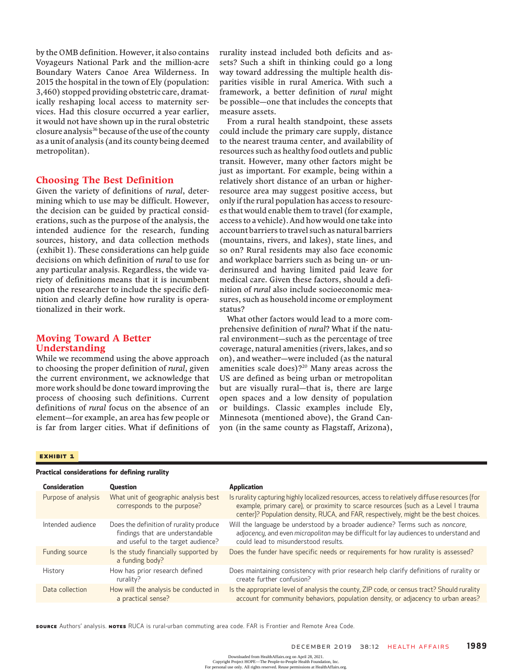by the OMB definition. However, it also contains Voyageurs National Park and the million-acre Boundary Waters Canoe Area Wilderness. In 2015 the hospital in the town of Ely (population: 3,460) stopped providing obstetric care, dramatically reshaping local access to maternity services. Had this closure occurred a year earlier, it would not have shown up in the rural obstetric closure analysis<sup>36</sup> because of the use of the county as a unit of analysis (and its county being deemed metropolitan).

# Choosing The Best Definition

Given the variety of definitions of rural, determining which to use may be difficult. However, the decision can be guided by practical considerations, such as the purpose of the analysis, the intended audience for the research, funding sources, history, and data collection methods (exhibit 1). These considerations can help guide decisions on which definition of rural to use for any particular analysis. Regardless, the wide variety of definitions means that it is incumbent upon the researcher to include the specific definition and clearly define how rurality is operationalized in their work.

# Moving Toward A Better Understanding

While we recommend using the above approach to choosing the proper definition of rural, given the current environment, we acknowledge that more work should be done toward improving the process of choosing such definitions. Current definitions of rural focus on the absence of an element—for example, an area has few people or is far from larger cities. What if definitions of

rurality instead included both deficits and assets? Such a shift in thinking could go a long way toward addressing the multiple health disparities visible in rural America. With such a framework, a better definition of rural might be possible—one that includes the concepts that measure assets.

From a rural health standpoint, these assets could include the primary care supply, distance to the nearest trauma center, and availability of resources such as healthy food outlets and public transit. However, many other factors might be just as important. For example, being within a relatively short distance of an urban or higherresource area may suggest positive access, but only if the rural population has access to resources that would enable them to travel (for example, access to a vehicle). And how would one take into account barriers to travel such as natural barriers (mountains, rivers, and lakes), state lines, and so on? Rural residents may also face economic and workplace barriers such as being un- or underinsured and having limited paid leave for medical care. Given these factors, should a definition of rural also include socioeconomic measures, such as household income or employment status?

What other factors would lead to a more comprehensive definition of rural? What if the natural environment—such as the percentage of tree coverage, natural amenities (rivers, lakes, and so on), and weather—were included (as the natural amenities scale does)?20 Many areas across the US are defined as being urban or metropolitan but are visually rural—that is, there are large open spaces and a low density of population or buildings. Classic examples include Ely, Minnesota (mentioned above), the Grand Canyon (in the same county as Flagstaff, Arizona),

### **EXHIBIT 1**  $\equiv$

### Practical considerations for defining rurality

| <b>Consideration</b> | <b>Question</b>                                                                                                   | <b>Application</b>                                                                                                                                                                                                                                                          |
|----------------------|-------------------------------------------------------------------------------------------------------------------|-----------------------------------------------------------------------------------------------------------------------------------------------------------------------------------------------------------------------------------------------------------------------------|
| Purpose of analysis  | What unit of geographic analysis best<br>corresponds to the purpose?                                              | Is rurality capturing highly localized resources, access to relatively diffuse resources (for<br>example, primary care), or proximity to scarce resources (such as a Level I trauma<br>center)? Population density, RUCA, and FAR, respectively, might be the best choices. |
| Intended audience    | Does the definition of rurality produce<br>findings that are understandable<br>and useful to the target audience? | Will the language be understood by a broader audience? Terms such as noncore,<br>adjacency, and even micropolitan may be difficult for lay audiences to understand and<br>could lead to misunderstood results.                                                              |
| Funding source       | Is the study financially supported by<br>a funding body?                                                          | Does the funder have specific needs or requirements for how rurality is assessed?                                                                                                                                                                                           |
| History              | How has prior research defined<br>rurality?                                                                       | Does maintaining consistency with prior research help clarify definitions of rurality or<br>create further confusion?                                                                                                                                                       |
| Data collection      | How will the analysis be conducted in<br>a practical sense?                                                       | Is the appropriate level of analysis the county, ZIP code, or census tract? Should rurality<br>account for community behaviors, population density, or adjacency to urban areas?                                                                                            |

**SOURCE** Authors' analysis. Notes RUCA is rural-urban commuting area code. FAR is Frontier and Remote Area Code.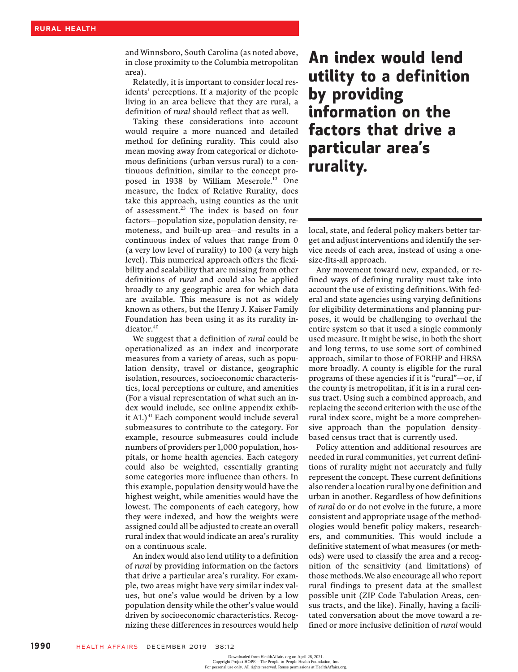and Winnsboro, South Carolina (as noted above, in close proximity to the Columbia metropolitan area).

Relatedly, it is important to consider local residents' perceptions. If a majority of the people living in an area believe that they are rural, a definition of rural should reflect that as well.

Taking these considerations into account would require a more nuanced and detailed method for defining rurality. This could also mean moving away from categorical or dichotomous definitions (urban versus rural) to a continuous definition, similar to the concept proposed in 1938 by William Meserole.10 One measure, the Index of Relative Rurality, does take this approach, using counties as the unit of assessment.<sup>23</sup> The index is based on four factors—population size, population density, remoteness, and built-up area—and results in a continuous index of values that range from 0 (a very low level of rurality) to 100 (a very high level). This numerical approach offers the flexibility and scalability that are missing from other definitions of rural and could also be applied broadly to any geographic area for which data are available. This measure is not as widely known as others, but the Henry J. Kaiser Family Foundation has been using it as its rurality indicator.<sup>40</sup>

We suggest that a definition of rural could be operationalized as an index and incorporate measures from a variety of areas, such as population density, travel or distance, geographic isolation, resources, socioeconomic characteristics, local perceptions or culture, and amenities (For a visual representation of what such an index would include, see online appendix exhibit A1.)<sup>41</sup> Each component would include several submeasures to contribute to the category. For example, resource submeasures could include numbers of providers per 1,000 population, hospitals, or home health agencies. Each category could also be weighted, essentially granting some categories more influence than others. In this example, population density would have the highest weight, while amenities would have the lowest. The components of each category, how they were indexed, and how the weights were assigned could all be adjusted to create an overall rural index that would indicate an area's rurality on a continuous scale.

An index would also lend utility to a definition of rural by providing information on the factors that drive a particular area's rurality. For example, two areas might have very similar index values, but one's value would be driven by a low population density while the other's value would driven by socioeconomic characteristics. Recognizing these differences in resources would help

# An index would lend utility to a definition by providing information on the factors that drive a information on t<br>factors that driv<br>particular area's rurality.

local, state, and federal policy makers better target and adjust interventions and identify the service needs of each area, instead of using a onesize-fits-all approach.

Any movement toward new, expanded, or refined ways of defining rurality must take into account the use of existing definitions.With federal and state agencies using varying definitions for eligibility determinations and planning purposes, it would be challenging to overhaul the entire system so that it used a single commonly used measure. It might be wise, in both the short and long terms, to use some sort of combined approach, similar to those of FORHP and HRSA more broadly. A county is eligible for the rural programs of these agencies if it is "rural"—or, if the county is metropolitan, if it is in a rural census tract. Using such a combined approach, and replacing the second criterion with the use of the rural index score, might be a more comprehensive approach than the population density– based census tract that is currently used.

Policy attention and additional resources are needed in rural communities, yet current definitions of rurality might not accurately and fully represent the concept. These current definitions also render a location rural by one definition and urban in another. Regardless of how definitions of rural do or do not evolve in the future, a more consistent and appropriate usage of the methodologies would benefit policy makers, researchers, and communities. This would include a definitive statement of what measures (or methods) were used to classify the area and a recognition of the sensitivity (and limitations) of those methods.We also encourage all who report rural findings to present data at the smallest possible unit (ZIP Code Tabulation Areas, census tracts, and the like). Finally, having a facilitated conversation about the move toward a refined or more inclusive definition of *rural* would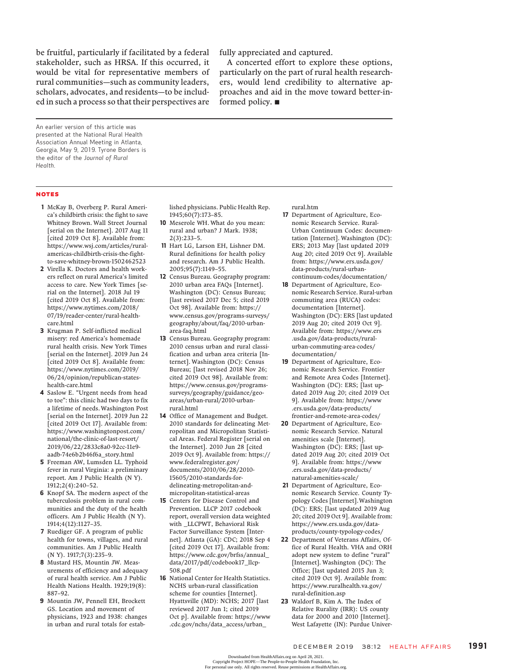be fruitful, particularly if facilitated by a federal stakeholder, such as HRSA. If this occurred, it would be vital for representative members of rural communities—such as community leaders, scholars, advocates, and residents—to be included in such a process so that their perspectives are fully appreciated and captured.

A concerted effort to explore these options, particularly on the part of rural health researchers, would lend credibility to alternative approaches and aid in the move toward better-informed policy.  $\blacksquare$ 

An earlier version of this article was presented at the National Rural Health Association Annual Meeting in Atlanta, Georgia, May 9, 2019. Tyrone Borders is the editor of the Journal of Rural Health.

- 1 McKay B, Overberg P. Rural America's childbirth crisis: the fight to save Whitney Brown. Wall Street Journal [serial on the Internet]. 2017 Aug 11 [cited 2019 Oct 8]. Available from: https://www.wsj.com/articles/ruralamericas-childbirth-crisis-the-fightto-save-whitney-brown-1502462523
- 2 Virella K. Doctors and health workers reflect on rural America's limited access to care. New York Times [serial on the Internet]. 2018 Jul 19 [cited 2019 Oct 8]. Available from: https://www.nytimes.com/2018/ 07/19/reader-center/rural-healthcare.html
- 3 Krugman P. Self-inflicted medical misery: red America's homemade rural health crisis. New York Times [serial on the Internet]. 2019 Jun 24 [cited 2019 Oct 8]. Available from: https://www.nytimes.com/2019/ 06/24/opinion/republican-stateshealth-care.html
- 4 Saslow E. "Urgent needs from head to toe": this clinic had two days to fix a lifetime of needs. Washington Post [serial on the Internet]. 2019 Jun 22 [cited 2019 Oct 17]. Available from: https://www.washingtonpost.com/ national/the-clinic-of-last-resort/ 2019/06/22/2833c8a0-92cc-11e9 aadb-74e6b2b46f6a\_story.html
- 5 Freeman AW, Lumsden LL. Typhoid fever in rural Virginia: a preliminary report. Am J Public Health (N Y). 1912;2(4):240–52.
- 6 Knopf SA. The modern aspect of the tuberculosis problem in rural communities and the duty of the health officers. Am J Public Health (N Y). 1914;4(12):1127–35.
- 7 Ruediger GF. A program of public health for towns, villages, and rural communities. Am J Public Health (N Y). 1917;7(3):235–9.
- 8 Mustard HS, Mountin JW. Measurements of efficiency and adequacy of rural health service. Am J Public Health Nations Health. 1929;19(8): 887–92.
- 9 Mountin JW, Pennell EH, Brockett GS. Location and movement of physicians, 1923 and 1938: changes in urban and rural totals for estab-
- lished physicians. Public Health Rep. 1945;60(7):173–85.
- 10 Meserole WH. What do you mean: rural and urban? J Mark. 1938; 2(3):233–5.
- 11 Hart LG, Larson EH, Lishner DM. Rural definitions for health policy and research. Am J Public Health. 2005;95(7):1149–55.
- 12 Census Bureau. Geography program: 2010 urban area FAQs [Internet]. Washington (DC): Census Bureau; [last revised 2017 Dec 5; cited 2019 Oct 98]. Available from: https:// www.census.gov/programs-surveys/ geography/about/faq/2010-urbanarea-faq.html
- 13 Census Bureau. Geography program: 2010 census urban and rural classification and urban area criteria [Internet]. Washington (DC): Census Bureau; [last revised 2018 Nov 26; cited 2019 Oct 98]. Available from: https://www.census.gov/programssurveys/geography/guidance/geoareas/urban-rural/2010-urbanrural.html
- 14 Office of Management and Budget. 2010 standards for delineating Metropolitan and Micropolitan Statistical Areas. Federal Register [serial on the Internet]. 2010 Jun 28 [cited 2019 Oct 9]. Available from: https:// www.federalregister.gov/ documents/2010/06/28/2010- 15605/2010-standards-fordelineating-metropolitan-andmicropolitan-statistical-areas
- 15 Centers for Disease Control and Prevention. LLCP 2017 codebook report, overall version data weighted with \_LLCPWT, Behavioral Risk Factor Surveillance System [Internet]. Atlanta (GA): CDC; 2018 Sep 4 [cited 2019 Oct 17]. Available from: https://www.cdc.gov/brfss/annual\_ data/2017/pdf/codebook17\_llcp-508.pdf
- 16 National Center for Health Statistics. NCHS urban-rural classification scheme for counties [Internet]. Hyattsville (MD): NCHS; 2017 [last reviewed 2017 Jun 1; cited 2019 Oct p]. Available from: https://www .cdc.gov/nchs/data\_access/urban\_

rural.htm

- 17 Department of Agriculture, Economic Research Service. Rural-Urban Continuum Codes: documentation [Internet]. Washington (DC): ERS; 2013 May [last updated 2019 Aug 20; cited 2019 Oct 9]. Available from: https://www.ers.usda.gov/ data-products/rural-urbancontinuum-codes/documentation/
- 18 Department of Agriculture, Economic Research Service. Rural-urban commuting area (RUCA) codes: documentation [Internet]. Washington (DC): ERS [last updated 2019 Aug 20; cited 2019 Oct 9]. Available from: https://www.ers .usda.gov/data-products/ruralurban-commuting-area-codes/ documentation/
- 19 Department of Agriculture, Economic Research Service. Frontier and Remote Area Codes [Internet]. Washington (DC): ERS; [last updated 2019 Aug 20; cited 2019 Oct 9]. Available from: https://www .ers.usda.gov/data-products/ frontier-and-remote-area-codes/
- 20 Department of Agriculture, Economic Research Service. Natural amenities scale [Internet]. Washington (DC): ERS; [last updated 2019 Aug 20; cited 2019 Oct 9]. Available from: https://www .ers.usda.gov/data-products/ natural-amenities-scale/
- 21 Department of Agriculture, Economic Research Service. County Typology Codes [Internet].Washington (DC): ERS; [last updated 2019 Aug 20; cited 2019 Oct 9]. Available from: https://www.ers.usda.gov/dataproducts/county-typology-codes/
- 22 Department of Veterans Affairs, Office of Rural Health. VHA and ORH adopt new system to define "rural" [Internet]. Washington (DC): The Office; [last updated 2015 Jun 3; cited 2019 Oct 9]. Available from: https://www.ruralhealth.va.gov/ rural-definition.asp
- 23 Waldorf B, Kim A. The Index of Relative Rurality (IRR): US county data for 2000 and 2010 [Internet]. West Lafayette (IN): Purdue Univer-